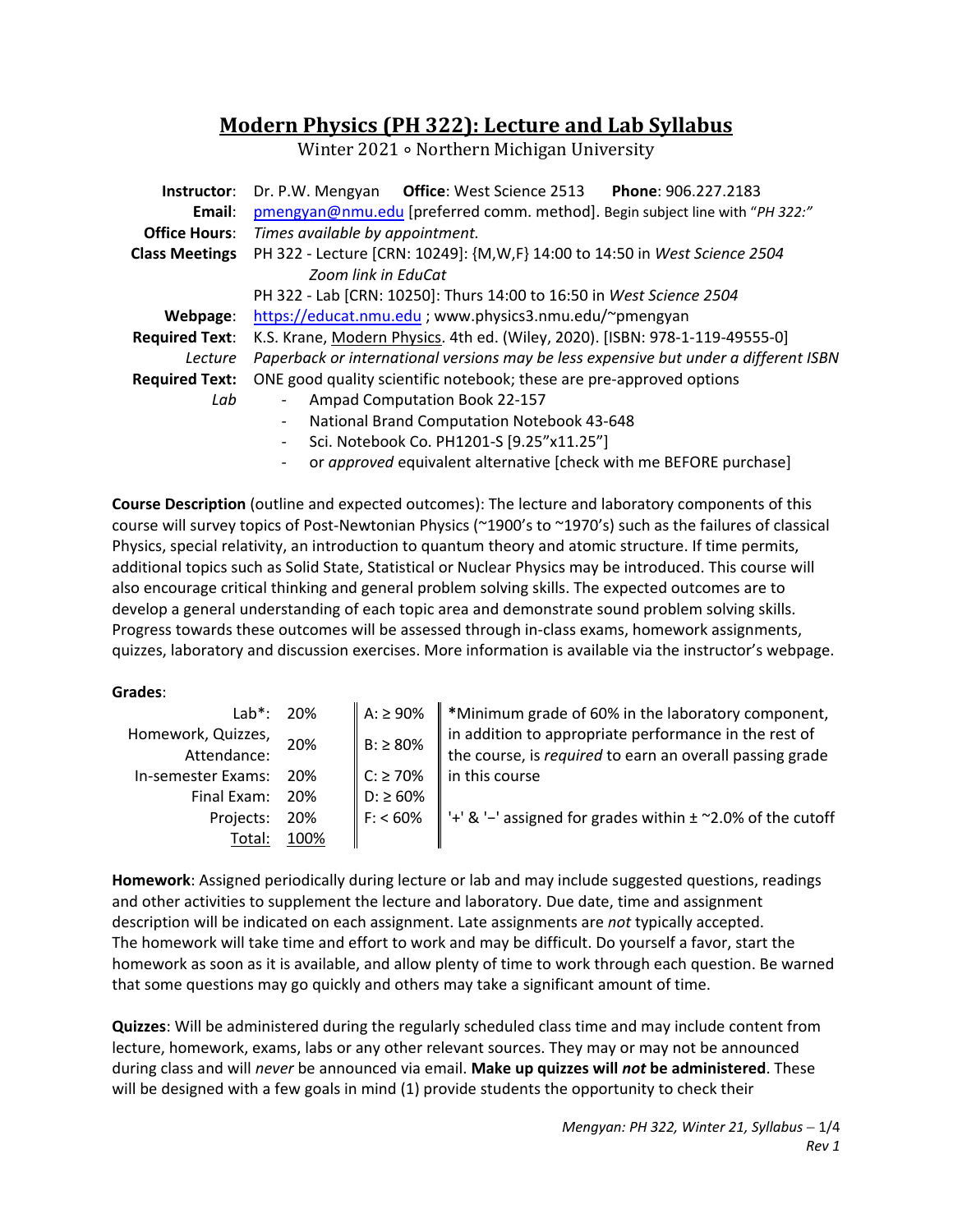# **Modern Physics (PH 322): Lecture and Lab Syllabus**

Winter 2021 ∘ Northern Michigan University

| Instructor:           | <b>Office: West Science 2513</b><br>Phone: 906.227.2183<br>Dr. P.W. Mengyan          |  |  |
|-----------------------|--------------------------------------------------------------------------------------|--|--|
| Email:                | pmengyan@nmu.edu [preferred comm. method]. Begin subject line with "PH 322:"         |  |  |
| <b>Office Hours:</b>  | Times available by appointment.                                                      |  |  |
| <b>Class Meetings</b> | PH 322 - Lecture [CRN: 10249]: {M, W, F} 14:00 to 14:50 in West Science 2504         |  |  |
|                       | Zoom link in EduCat                                                                  |  |  |
|                       | PH 322 - Lab [CRN: 10250]: Thurs 14:00 to 16:50 in West Science 2504                 |  |  |
| Webpage:              | https://educat.nmu.edu ; www.physics3.nmu.edu/~pmengyan                              |  |  |
| <b>Required Text:</b> | K.S. Krane, Modern Physics. 4th ed. (Wiley, 2020). [ISBN: 978-1-119-49555-0]         |  |  |
| Lecture               | Paperback or international versions may be less expensive but under a different ISBN |  |  |
| <b>Required Text:</b> | ONE good quality scientific notebook; these are pre-approved options                 |  |  |
| Lab                   | Ampad Computation Book 22-157                                                        |  |  |
|                       | National Brand Computation Notebook 43-648<br>$\overline{\phantom{0}}$               |  |  |
|                       | Sci. Notebook Co. PH1201-S [9.25"x11.25"]<br>$\overline{\phantom{0}}$                |  |  |
|                       | or approved equivalent alternative [check with me BEFORE purchase]                   |  |  |

**Course Description** (outline and expected outcomes): The lecture and laboratory components of this course will survey topics of Post‐Newtonian Physics (~1900's to ~1970's) such as the failures of classical Physics, special relativity, an introduction to quantum theory and atomic structure. If time permits, additional topics such as Solid State, Statistical or Nuclear Physics may be introduced. This course will also encourage critical thinking and general problem solving skills. The expected outcomes are to develop a general understanding of each topic area and demonstrate sound problem solving skills. Progress towards these outcomes will be assessed through in‐class exams, homework assignments, quizzes, laboratory and discussion exercises. More information is available via the instructor's webpage.

#### **Grades**:

| $Lab^*$ :          | 20%  | A: ≥ 90%             | $\ $ *Minimum grade of 60% in the laboratory component,                    |
|--------------------|------|----------------------|----------------------------------------------------------------------------|
| Homework, Quizzes, | 20%  | $B: \geq 80\%$       | in addition to appropriate performance in the rest of                      |
| Attendance:        |      |                      | the course, is required to earn an overall passing grade                   |
| In-semester Exams: | 20%  | $C: \ge 70\%$        | In this course                                                             |
| Final Exam:        | 20%  | D: ≥ 60%             |                                                                            |
| Projects:          | 20%  | $\parallel$ F: < 60% | $\parallel$ '+' & '-' assigned for grades within $\pm$ ~2.0% of the cutoff |
| Total:             | 100% |                      |                                                                            |

**Homework**: Assigned periodically during lecture or lab and may include suggested questions, readings and other activities to supplement the lecture and laboratory. Due date, time and assignment description will be indicated on each assignment. Late assignments are *not* typically accepted. The homework will take time and effort to work and may be difficult. Do yourself a favor, start the homework as soon as it is available, and allow plenty of time to work through each question. Be warned that some questions may go quickly and others may take a significant amount of time.

**Quizzes**: Will be administered during the regularly scheduled class time and may include content from lecture, homework, exams, labs or any other relevant sources. They may or may not be announced during class and will *never* be announced via email. **Make up quizzes will** *not* **be administered**. These will be designed with a few goals in mind (1) provide students the opportunity to check their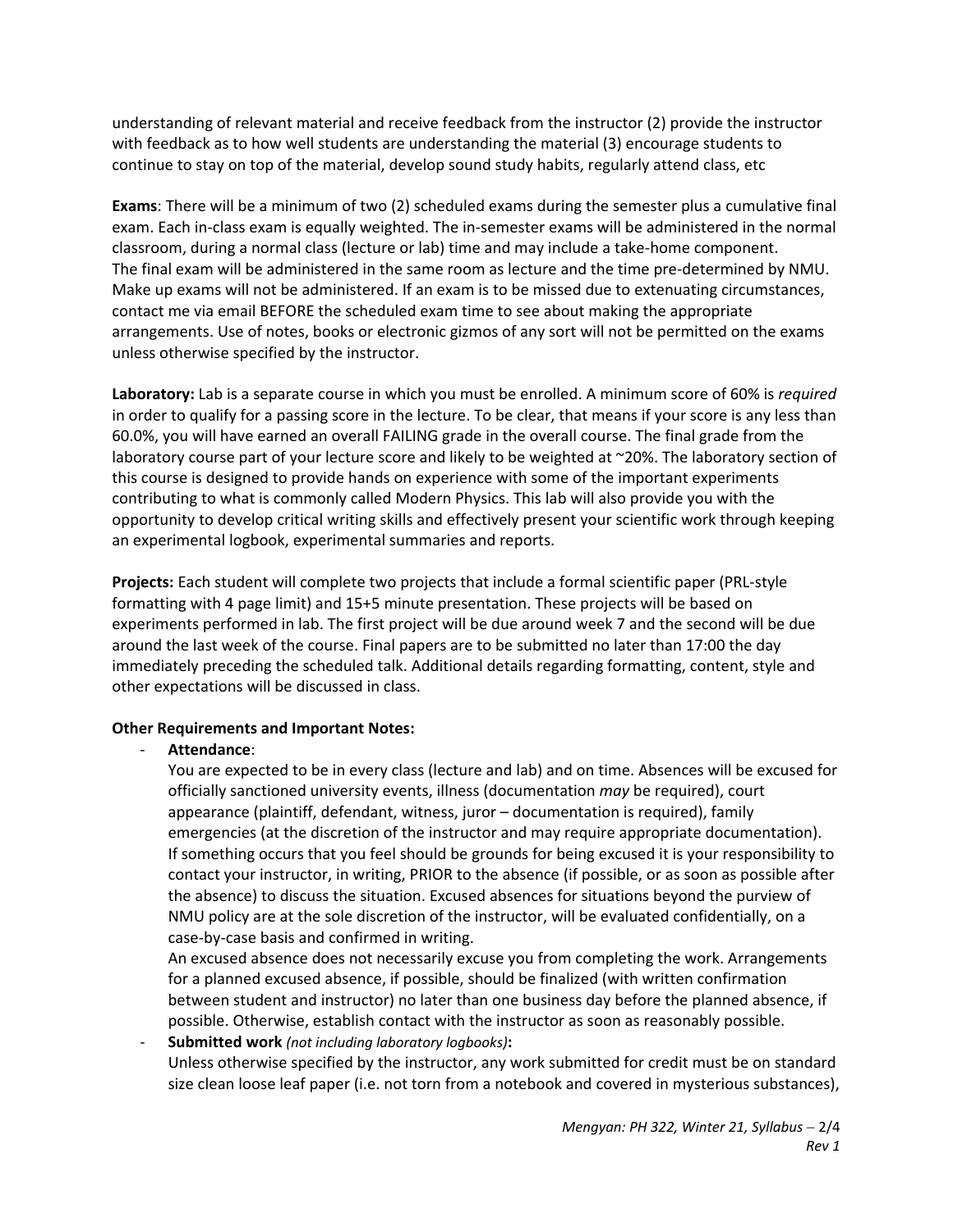understanding of relevant material and receive feedback from the instructor (2) provide the instructor with feedback as to how well students are understanding the material (3) encourage students to continue to stay on top of the material, develop sound study habits, regularly attend class, etc

**Exams**: There will be a minimum of two (2) scheduled exams during the semester plus a cumulative final exam. Each in‐class exam is equally weighted. The in‐semester exams will be administered in the normal classroom, during a normal class (lecture or lab) time and may include a take-home component. The final exam will be administered in the same room as lecture and the time pre‐determined by NMU. Make up exams will not be administered. If an exam is to be missed due to extenuating circumstances, contact me via email BEFORE the scheduled exam time to see about making the appropriate arrangements. Use of notes, books or electronic gizmos of any sort will not be permitted on the exams unless otherwise specified by the instructor.

**Laboratory:** Lab is a separate course in which you must be enrolled. A minimum score of 60% is *required* in order to qualify for a passing score in the lecture. To be clear, that means if your score is any less than 60.0%, you will have earned an overall FAILING grade in the overall course. The final grade from the laboratory course part of your lecture score and likely to be weighted at ~20%. The laboratory section of this course is designed to provide hands on experience with some of the important experiments contributing to what is commonly called Modern Physics. This lab will also provide you with the opportunity to develop critical writing skills and effectively present your scientific work through keeping an experimental logbook, experimental summaries and reports.

**Projects:** Each student will complete two projects that include a formal scientific paper (PRL‐style formatting with 4 page limit) and 15+5 minute presentation. These projects will be based on experiments performed in lab. The first project will be due around week 7 and the second will be due around the last week of the course. Final papers are to be submitted no later than 17:00 the day immediately preceding the scheduled talk. Additional details regarding formatting, content, style and other expectations will be discussed in class.

# **Other Requirements and Important Notes:**

# ‐ **Attendance**:

You are expected to be in every class (lecture and lab) and on time. Absences will be excused for officially sanctioned university events, illness (documentation *may* be required), court appearance (plaintiff, defendant, witness, juror – documentation is required), family emergencies (at the discretion of the instructor and may require appropriate documentation). If something occurs that you feel should be grounds for being excused it is your responsibility to contact your instructor, in writing, PRIOR to the absence (if possible, or as soon as possible after the absence) to discuss the situation. Excused absences for situations beyond the purview of NMU policy are at the sole discretion of the instructor, will be evaluated confidentially, on a case‐by‐case basis and confirmed in writing.

An excused absence does not necessarily excuse you from completing the work. Arrangements for a planned excused absence, if possible, should be finalized (with written confirmation between student and instructor) no later than one business day before the planned absence, if possible. Otherwise, establish contact with the instructor as soon as reasonably possible.

‐ **Submitted work** *(not including laboratory logbooks)***:** Unless otherwise specified by the instructor, any work submitted for credit must be on standard size clean loose leaf paper (i.e. not torn from a notebook and covered in mysterious substances),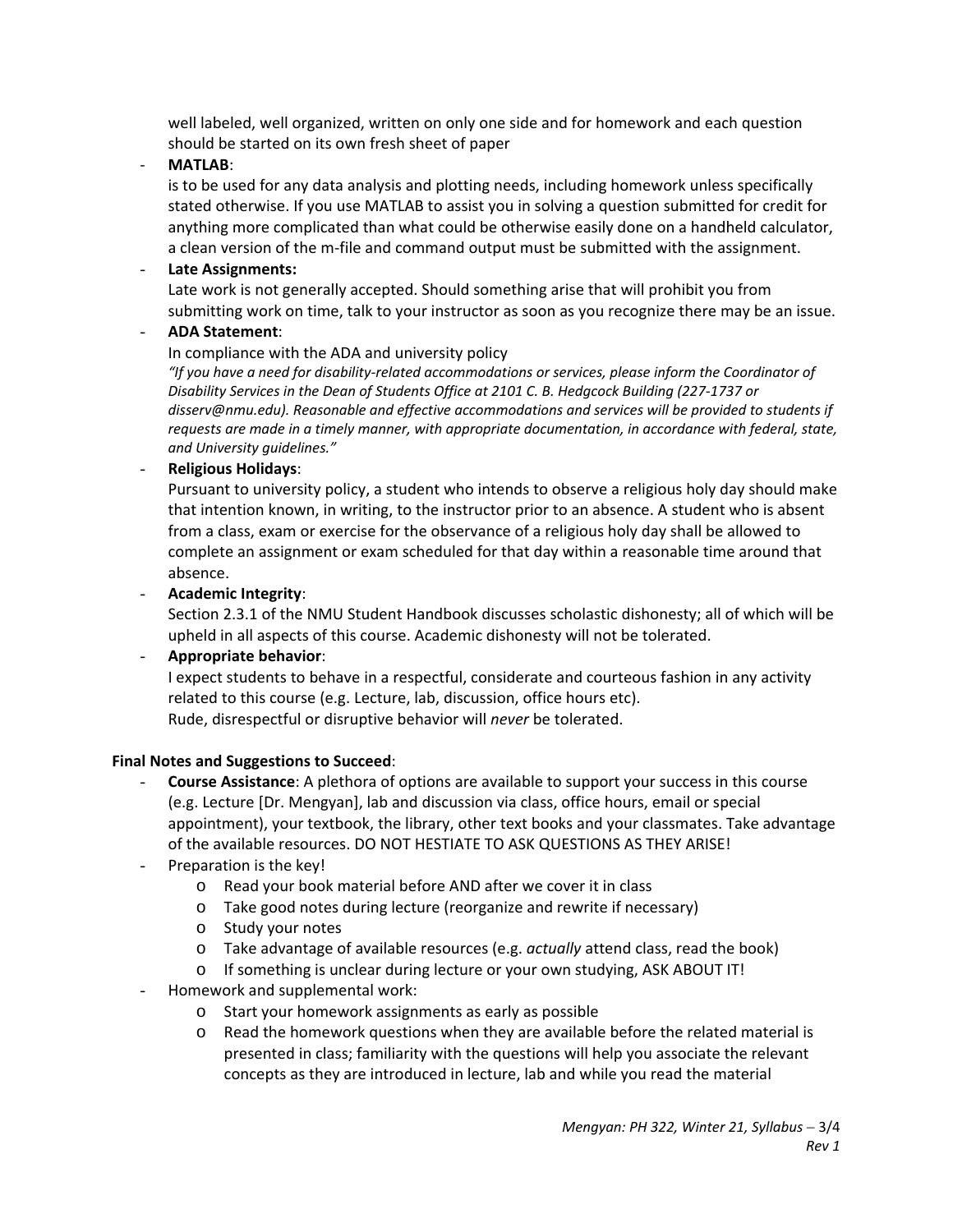well labeled, well organized, written on only one side and for homework and each question should be started on its own fresh sheet of paper

‐ **MATLAB**:

is to be used for any data analysis and plotting needs, including homework unless specifically stated otherwise. If you use MATLAB to assist you in solving a question submitted for credit for anything more complicated than what could be otherwise easily done on a handheld calculator, a clean version of the m‐file and command output must be submitted with the assignment.

### - **Late Assignments:**

Late work is not generally accepted. Should something arise that will prohibit you from submitting work on time, talk to your instructor as soon as you recognize there may be an issue.

## - **ADA Statement**:

#### In compliance with the ADA and university policy

*"If you have a need for disability‐related accommodations or services, please inform the Coordinator of Disability Services in the Dean of Students Office at 2101 C. B. Hedgcock Building (227‐1737 or disserv@nmu.edu). Reasonable and effective accommodations and services will be provided to students if requests are made in a timely manner, with appropriate documentation, in accordance with federal, state, and University guidelines."*

#### - **Religious Holidays**:

Pursuant to university policy, a student who intends to observe a religious holy day should make that intention known, in writing, to the instructor prior to an absence. A student who is absent from a class, exam or exercise for the observance of a religious holy day shall be allowed to complete an assignment or exam scheduled for that day within a reasonable time around that absence.

## - **Academic Integrity**:

Section 2.3.1 of the NMU Student Handbook discusses scholastic dishonesty; all of which will be upheld in all aspects of this course. Academic dishonesty will not be tolerated.

#### - **Appropriate behavior**:

I expect students to behave in a respectful, considerate and courteous fashion in any activity related to this course (e.g. Lecture, lab, discussion, office hours etc). Rude, disrespectful or disruptive behavior will *never* be tolerated.

#### **Final Notes and Suggestions to Succeed**:

- **Course Assistance**: A plethora of options are available to support your success in this course (e.g. Lecture [Dr. Mengyan], lab and discussion via class, office hours, email or special appointment), your textbook, the library, other text books and your classmates. Take advantage of the available resources. DO NOT HESTIATE TO ASK QUESTIONS AS THEY ARISE!
- Preparation is the key!
	- o Read your book material before AND after we cover it in class
	- o Take good notes during lecture (reorganize and rewrite if necessary)
	- o Study your notes
	- o Take advantage of available resources (e.g. *actually* attend class, read the book)
	- o If something is unclear during lecture or your own studying, ASK ABOUT IT!
- Homework and supplemental work:
	- o Start your homework assignments as early as possible
	- o Read the homework questions when they are available before the related material is presented in class; familiarity with the questions will help you associate the relevant concepts as they are introduced in lecture, lab and while you read the material